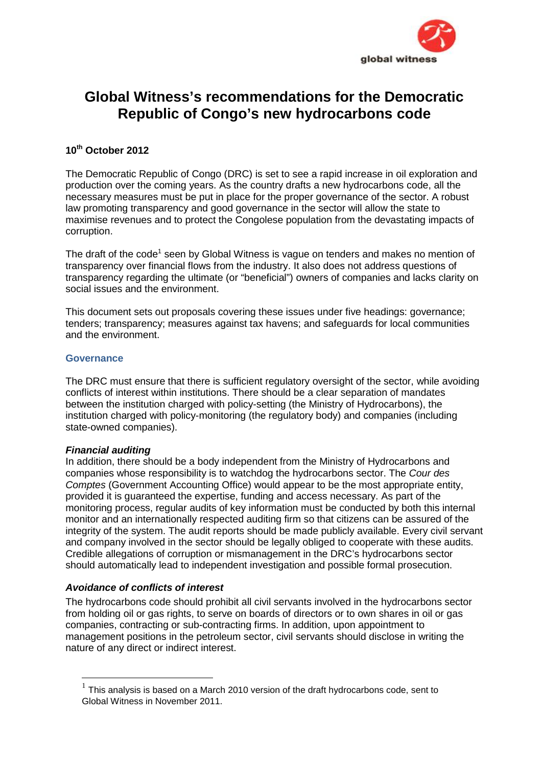

# **Global Witness's recommendations for the Democratic Republic of Congo's new hydrocarbons code**

## **10th October 2012**

The Democratic Republic of Congo (DRC) is set to see a rapid increase in oil exploration and production over the coming years. As the country drafts a new hydrocarbons code, all the necessary measures must be put in place for the proper governance of the sector. A robust law promoting transparency and good governance in the sector will allow the state to maximise revenues and to protect the Congolese population from the devastating impacts of corruption.

The draft of the code<sup>1</sup> seen by Global Witness is vague on tenders and makes no mention of transparency over financial flows from the industry. It also does not address questions of transparency regarding the ultimate (or "beneficial") owners of companies and lacks clarity on social issues and the environment.

This document sets out proposals covering these issues under five headings: governance; tenders; transparency; measures against tax havens; and safeguards for local communities and the environment.

## **Governance**

The DRC must ensure that there is sufficient regulatory oversight of the sector, while avoiding conflicts of interest within institutions. There should be a clear separation of mandates between the institution charged with policy-setting (the Ministry of Hydrocarbons), the institution charged with policy-monitoring (the regulatory body) and companies (including state-owned companies).

## *Financial auditing*

In addition, there should be a body independent from the Ministry of Hydrocarbons and companies whose responsibility is to watchdog the hydrocarbons sector. The *Cour des Comptes* (Government Accounting Office) would appear to be the most appropriate entity, provided it is guaranteed the expertise, funding and access necessary. As part of the monitoring process, regular audits of key information must be conducted by both this internal monitor and an internationally respected auditing firm so that citizens can be assured of the integrity of the system. The audit reports should be made publicly available. Every civil servant and company involved in the sector should be legally obliged to cooperate with these audits. Credible allegations of corruption or mismanagement in the DRC's hydrocarbons sector should automatically lead to independent investigation and possible formal prosecution.

## *Avoidance of conflicts of interest*

The hydrocarbons code should prohibit all civil servants involved in the hydrocarbons sector from holding oil or gas rights, to serve on boards of directors or to own shares in oil or gas companies, contracting or sub-contracting firms. In addition, upon appointment to management positions in the petroleum sector, civil servants should disclose in writing the nature of any direct or indirect interest.

 $1$  This analvsis is based on a March 2010 version of the draft hydrocarbons code, sent to Global Witness in November 2011.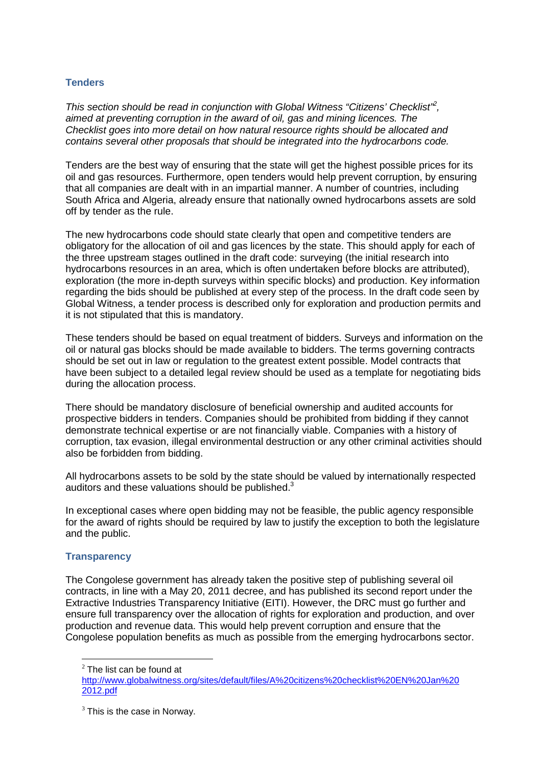## **Tenders**

*This section should be read in conjunction with Global Witness "Citizens' Checklist"<sup>2</sup> , aimed at preventing corruption in the award of oil, gas and mining licences. The Checklist goes into more detail on how natural resource rights should be allocated and contains several other proposals that should be integrated into the hydrocarbons code.*

Tenders are the best way of ensuring that the state will get the highest possible prices for its oil and gas resources. Furthermore, open tenders would help prevent corruption, by ensuring that all companies are dealt with in an impartial manner. A number of countries, including South Africa and Algeria, already ensure that nationally owned hydrocarbons assets are sold off by tender as the rule.

The new hydrocarbons code should state clearly that open and competitive tenders are obligatory for the allocation of oil and gas licences by the state. This should apply for each of the three upstream stages outlined in the draft code: surveying (the initial research into hydrocarbons resources in an area, which is often undertaken before blocks are attributed), exploration (the more in-depth surveys within specific blocks) and production. Key information regarding the bids should be published at every step of the process. In the draft code seen by Global Witness, a tender process is described only for exploration and production permits and it is not stipulated that this is mandatory.

These tenders should be based on equal treatment of bidders. Surveys and information on the oil or natural gas blocks should be made available to bidders. The terms governing contracts should be set out in law or regulation to the greatest extent possible. Model contracts that have been subject to a detailed legal review should be used as a template for negotiating bids during the allocation process.

There should be mandatory disclosure of beneficial ownership and audited accounts for prospective bidders in tenders. Companies should be prohibited from bidding if they cannot demonstrate technical expertise or are not financially viable. Companies with a history of corruption, tax evasion, illegal environmental destruction or any other criminal activities should also be forbidden from bidding.

All hydrocarbons assets to be sold by the state should be valued by internationally respected auditors and these valuations should be published.<sup>3</sup>

In exceptional cases where open bidding may not be feasible, the public agency responsible for the award of rights should be required by law to justify the exception to both the legislature and the public.

## **Transparency**

The Congolese government has already taken the positive step of publishing several oil contracts, in line with a May 20, 2011 decree, and has published its second report under the Extractive Industries Transparency Initiative (EITI). However, the DRC must go further and ensure full transparency over the allocation of rights for exploration and production, and over production and revenue data. This would help prevent corruption and ensure that the Congolese population benefits as much as possible from the emerging hydrocarbons sector.

 $2$  The list can be found at

http://www.globalwitness.org/sites/default/files/A%20citizens%20checklist%20EN%20Jan%20 2012.pdf

 $3$  This is the case in Norway.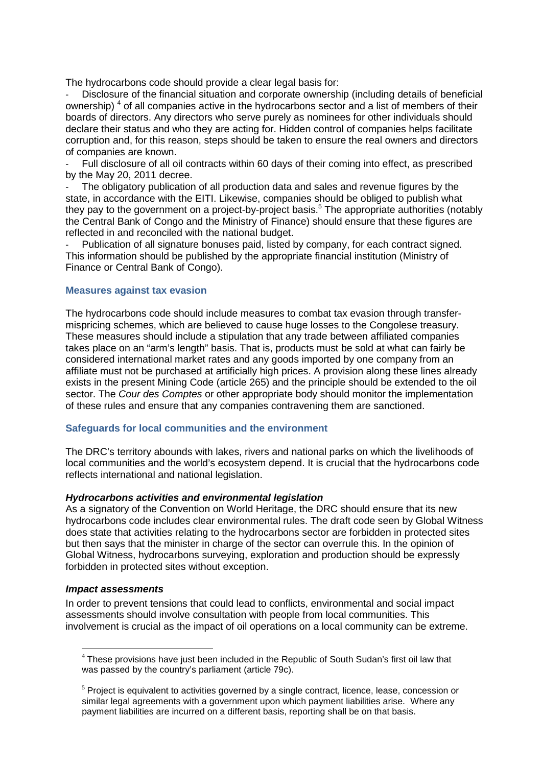The hydrocarbons code should provide a clear legal basis for:

Disclosure of the financial situation and corporate ownership (including details of beneficial ownership)<sup>4</sup> of all companies active in the hydrocarbons sector and a list of members of their boards of directors. Any directors who serve purely as nominees for other individuals should declare their status and who they are acting for. Hidden control of companies helps facilitate corruption and, for this reason, steps should be taken to ensure the real owners and directors of companies are known.

- Full disclosure of all oil contracts within 60 days of their coming into effect, as prescribed by the May 20, 2011 decree.

The obligatory publication of all production data and sales and revenue figures by the state, in accordance with the EITI. Likewise, companies should be obliged to publish what they pay to the government on a project-by-project basis.<sup>5</sup> The appropriate authorities (notably the Central Bank of Congo and the Ministry of Finance) should ensure that these figures are reflected in and reconciled with the national budget.

Publication of all signature bonuses paid, listed by company, for each contract signed. This information should be published by the appropriate financial institution (Ministry of Finance or Central Bank of Congo).

#### **Measures against tax evasion**

The hydrocarbons code should include measures to combat tax evasion through transfer mispricing schemes, which are believed to cause huge losses to the Congolese treasury. These measures should include a stipulation that any trade between affiliated companies takes place on an "arm's length" basis. That is, products must be sold at what can fairly be considered international market rates and any goods imported by one company from an affiliate must not be purchased at artificially high prices. A provision along these lines already exists in the present Mining Code (article 265) and the principle should be extended to the oil sector. The *Cour des Comptes* or other appropriate body should monitor the implementation of these rules and ensure that any companies contravening them are sanctioned.

#### **Safeguards for local communities and the environment**

The DRC's territory abounds with lakes, rivers and national parks on which the livelihoods of local communities and the world's ecosystem depend. It is crucial that the hydrocarbons code reflects international and national legislation.

#### *Hydrocarbons activities and environmental legislation*

As a signatory of the Convention on World Heritage, the DRC should ensure that its new hydrocarbons code includes clear environmental rules. The draft code seen by Global Witness does state that activities relating to the hydrocarbons sector are forbidden in protected sites but then says that the minister in charge of the sector can overrule this. In the opinion of Global Witness, hydrocarbons surveying, exploration and production should be expressly forbidden in protected sites without exception.

#### *Impact assessments*

In order to prevent tensions that could lead to conflicts, environmental and social impact assessments should involve consultation with people from local communities. This involvement is crucial as the impact of oil operations on a local community can be extreme.

<sup>&</sup>lt;sup>4</sup> These provisions have just been included in the Republic of South Sudan's first oil law that was passed by the country's parliament (article 79c).

<sup>&</sup>lt;sup>5</sup> Project is equivalent to activities governed by a single contract, licence, lease, concession or similar legal agreements with a government upon which payment liabilities arise. Where any payment liabilities are incurred on a different basis, reporting shall be on that basis.